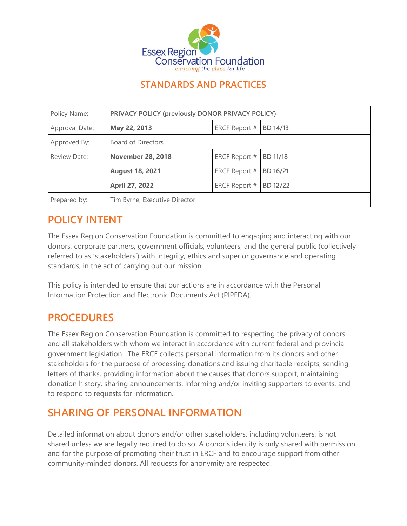

#### **STANDARDS AND PRACTICES**

| Policy Name:   | PRIVACY POLICY (previously DONOR PRIVACY POLICY) |               |                 |
|----------------|--------------------------------------------------|---------------|-----------------|
| Approval Date: | May 22, 2013                                     | ERCF Report # | <b>BD 14/13</b> |
| Approved By:   | Board of Directors                               |               |                 |
| Review Date:   | <b>November 28, 2018</b>                         | ERCF Report # | <b>BD 11/18</b> |
|                | <b>August 18, 2021</b>                           | ERCF Report # | BD 16/21        |
|                | <b>April 27, 2022</b>                            | ERCF Report # | BD 12/22        |
| Prepared by:   | Tim Byrne, Executive Director                    |               |                 |

# **POLICY INTENT**

The Essex Region Conservation Foundation is committed to engaging and interacting with our donors, corporate partners, government officials, volunteers, and the general public (collectively referred to as 'stakeholders') with integrity, ethics and superior governance and operating standards, in the act of carrying out our mission.

This policy is intended to ensure that our actions are in accordance with the Personal Information Protection and Electronic Documents Act (PIPEDA).

### **PROCEDURES**

The Essex Region Conservation Foundation is committed to respecting the privacy of donors and all stakeholders with whom we interact in accordance with current federal and provincial government legislation. The ERCF collects personal information from its donors and other stakeholders for the purpose of processing donations and issuing charitable receipts, sending letters of thanks, providing information about the causes that donors support, maintaining donation history, sharing announcements, informing and/or inviting supporters to events, and to respond to requests for information.

# **SHARING OF PERSONAL INFORMATION**

Detailed information about donors and/or other stakeholders, including volunteers, is not shared unless we are legally required to do so. A donor's identity is only shared with permission and for the purpose of promoting their trust in ERCF and to encourage support from other community-minded donors. All requests for anonymity are respected.